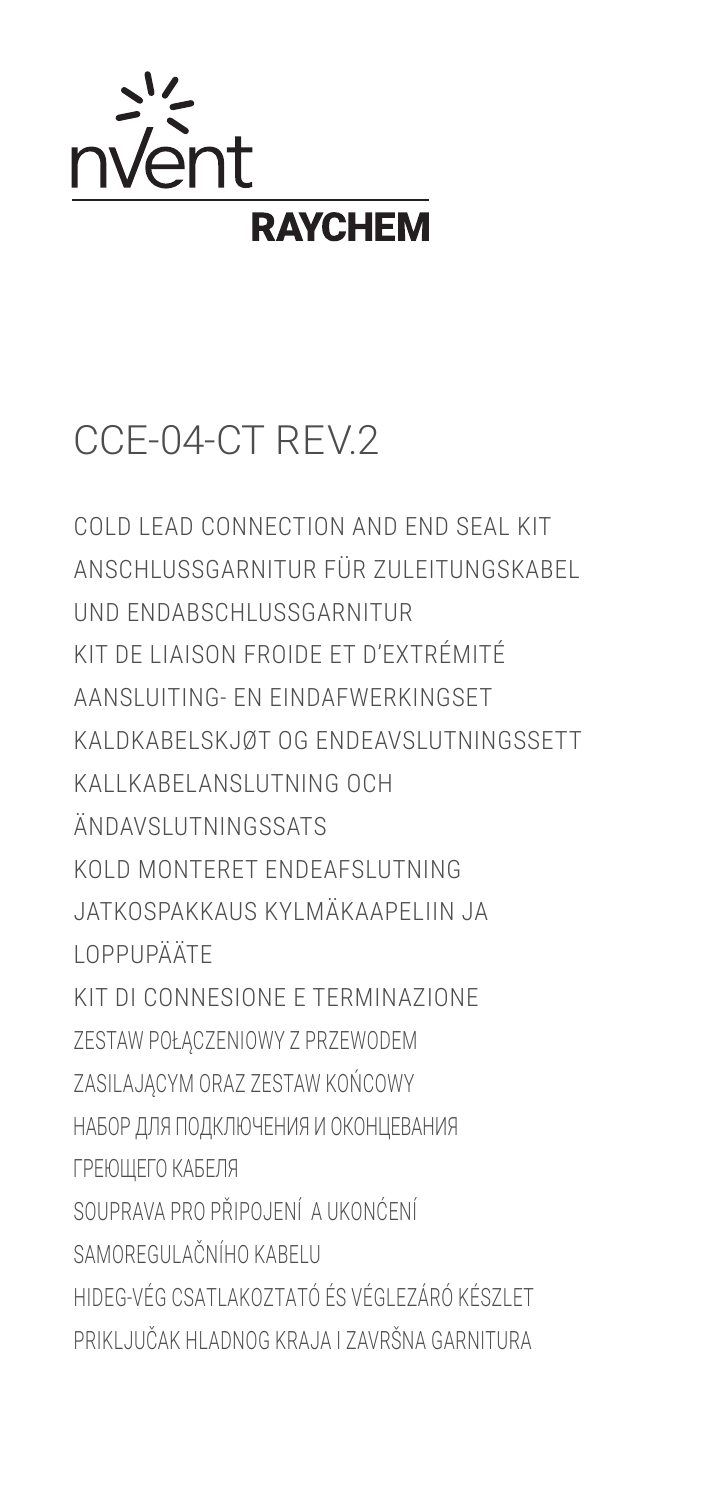

## CCE-04-CT REV.2

COLD LEAD CONNECTION AND END SEAL KIT ANSCHLUSSGARNITUR FÜR ZULFITUNGSKABEL UND ENDARSCHLUSSGARNITUR KIT DE LIAISON FROIDE ET D'EXTRÉMITÉ AANSI UITING- EN FINDAFWERKINGSET KAI DKABELSKJØT OG ENDEAVSLUTNINGSSETT KALLKARELANSLUTNING OCH ÄNDAVSLUTNINGSSATS KOLD MONTERET ENDEAESLUTNING JATKOSPAKKAIIS KYI MÄKAAPFI IIN JA **I OPPHPÄÄTE** KIT DI CONNESIONE E TERMINAZIONE ZESTAW POŁACZENIOWY Z PRZEWODEM ZASILAJĄCYM ORAZ ZESTAW KOŃCOWY НАБОР ДЛЯ ПОДКЛЮЧЕНИЯ И ОКОНЦЕВАНИЯ ГРЕЮШЕГО КАБЕЛЯ SOUPRAVA PRO PŘIPOJENÍ A UKONĆENÍ SAMOREGULAČNÍHO KARELU HIDEG-VÉG CSATI AKOZTATÓ ÉS VÉGI EZÁRÓ KÉSZI ET PRIKLJUČAK HLADNOG KRAJA I ZAVRŠNA GARNITURA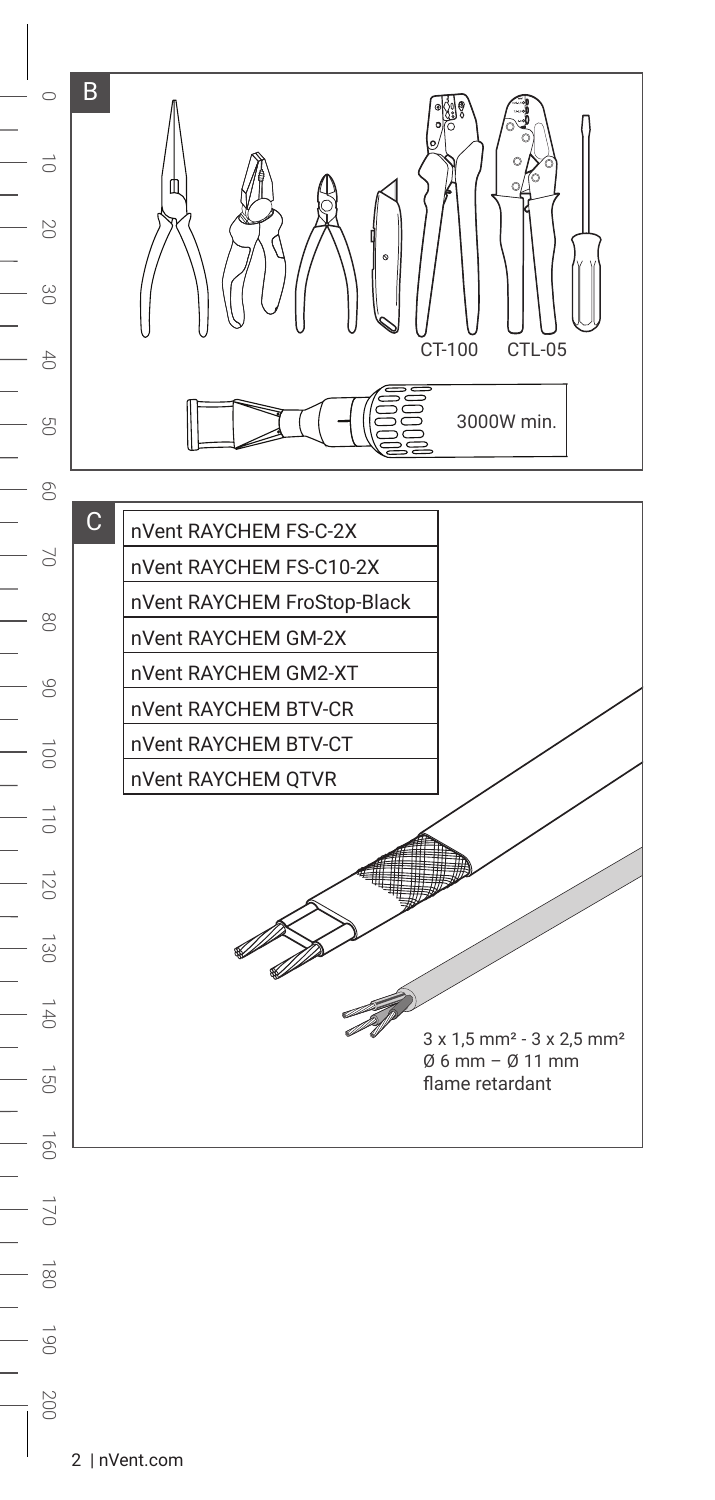

180

190

200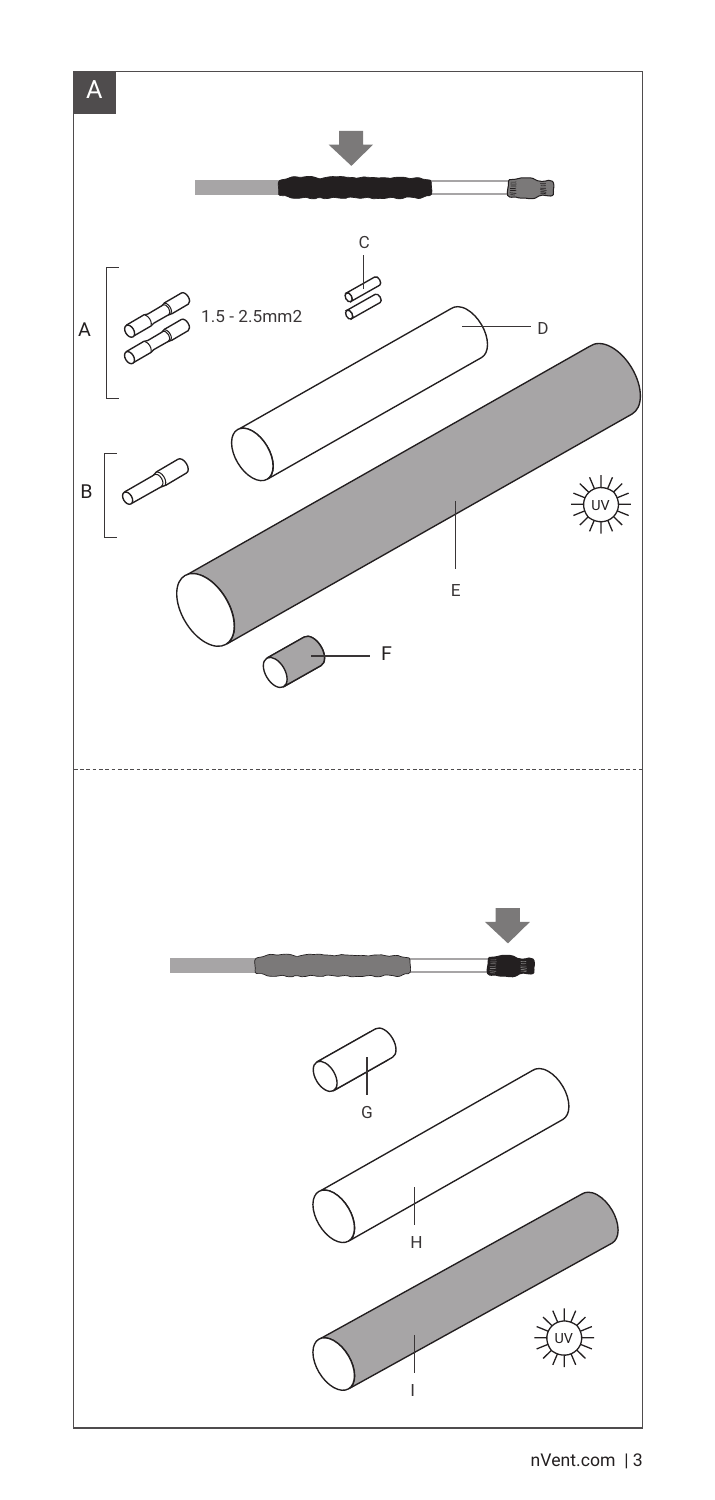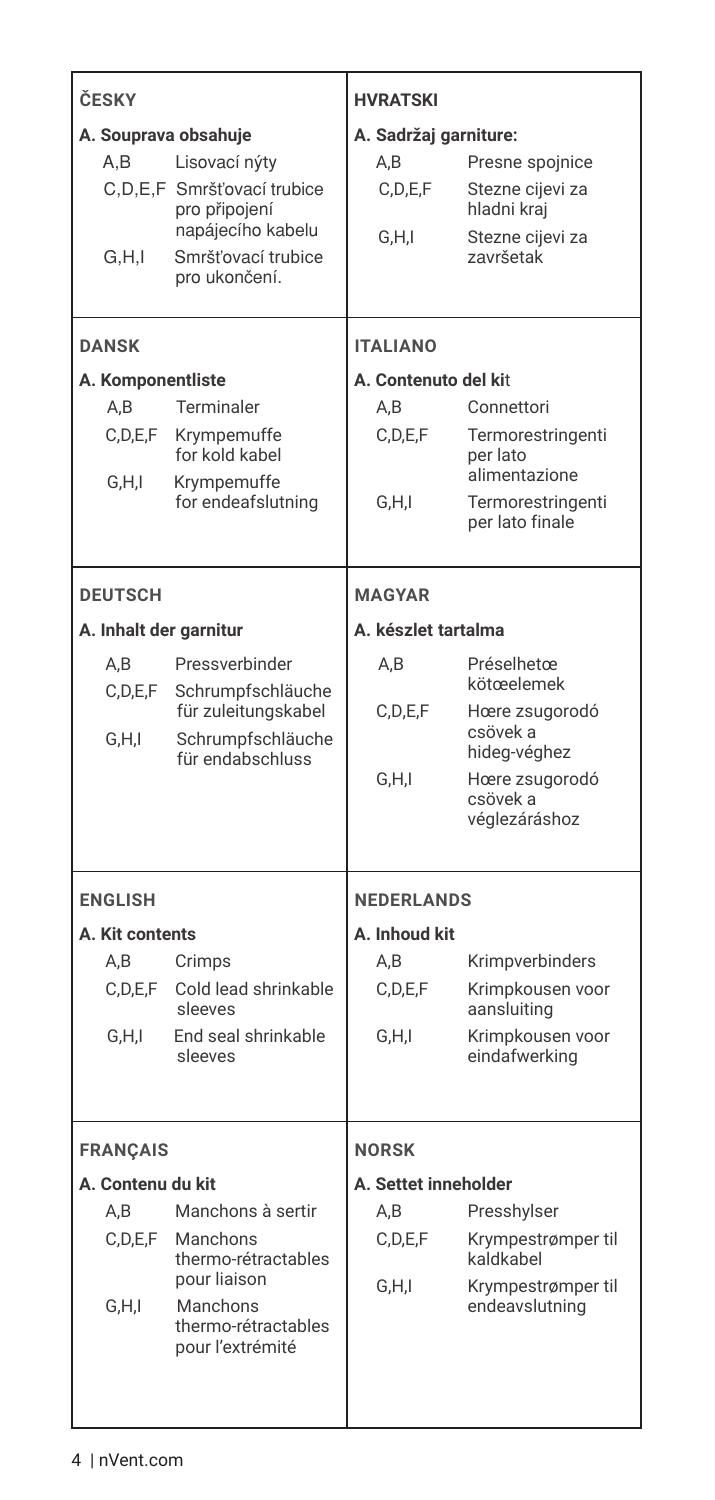| ČESKY                                  |                   |                                       | <b>HVRATSKI</b>       |                                      |
|----------------------------------------|-------------------|---------------------------------------|-----------------------|--------------------------------------|
| A. Souprava obsahuje                   |                   |                                       | A. Sadržaj garniture: |                                      |
|                                        | A.B               | Lisovací nýty                         | A,B                   | Presne spojnice                      |
|                                        |                   | C.D.E.F Smršťovací trubice            | C, D, E, F            | Stezne cijevi za                     |
|                                        |                   | pro připojení                         |                       | hladni kraj                          |
|                                        |                   | napájecího kabelu                     | G,H,I                 | Stezne cijevi za                     |
|                                        | G.H.I             | Smršťovací trubice<br>pro ukončení.   |                       | završetak                            |
|                                        |                   |                                       |                       |                                      |
|                                        | <b>DANSK</b>      |                                       | <b>ITALIANO</b>       |                                      |
|                                        |                   |                                       |                       |                                      |
|                                        | A. Komponentliste |                                       | A. Contenuto del kit  |                                      |
|                                        | A,B               | Terminaler                            | A, B                  | Connettori                           |
|                                        | C,D,E,F           | Krympemuffe<br>for kold kabel         | C,D,E,F               | Termorestringenti<br>per lato        |
|                                        | G,H,I             | Krympemuffe                           |                       | alimentazione                        |
|                                        |                   | for endeafslutning                    | G.H.I                 | Termorestringenti<br>per lato finale |
|                                        |                   |                                       |                       |                                      |
|                                        |                   |                                       | <b>MAGYAR</b>         |                                      |
|                                        | <b>DEUTSCH</b>    |                                       |                       |                                      |
|                                        |                   | A. Inhalt der garnitur                | A. készlet tartalma   |                                      |
|                                        | A,B               | Pressverbinder                        | A,B                   | Préselhetœ                           |
|                                        | C, D, E, F        | Schrumpfschläuche                     |                       | kötœelemek                           |
|                                        |                   | für zuleitungskabel                   | C.D.E.F               | Hœre zsugorodó<br>csövek a           |
|                                        | G.H.I             | Schrumpfschläuche<br>für endabschluss |                       | hideg-véghez                         |
|                                        |                   |                                       | G,H,I                 | Hœre zsugorodó                       |
|                                        |                   |                                       |                       | csövek a                             |
|                                        |                   |                                       |                       | véglezáráshoz                        |
|                                        |                   |                                       |                       |                                      |
|                                        | <b>ENGLISH</b>    |                                       | <b>NEDERLANDS</b>     |                                      |
|                                        | A. Kit contents   |                                       | A. Inhoud kit         |                                      |
|                                        | A,B               | Crimps                                | A,B                   | Krimpverbinders                      |
|                                        | C,D,E,F           | Cold lead shrinkable<br>sleeves       | C,D,E,F               | Krimpkousen voor<br>aansluiting      |
|                                        | G.H.I             | End seal shrinkable                   | G,H,I                 | Krimpkousen voor                     |
|                                        |                   | sleeves                               |                       | eindafwerking                        |
|                                        |                   |                                       |                       |                                      |
|                                        |                   |                                       | <b>NORSK</b>          |                                      |
| <b>FRANÇAIS</b>                        |                   |                                       | A. Settet inneholder  |                                      |
| A. Contenu du kit<br>Manchons à sertir |                   |                                       |                       |                                      |
|                                        | A,B<br>C,D,E,F    | Manchons                              | A,B<br>C,D,E,F        | Presshylser<br>Krympestrømper til    |
|                                        |                   | thermo-rétractables                   |                       | kaldkabel                            |
|                                        |                   | pour liaison                          | G,H,I                 | Krympestrømper til                   |
|                                        | G,H,I             | Manchons<br>thermo-rétractables       |                       | endeavslutning                       |
|                                        |                   | pour l'extrémité                      |                       |                                      |
|                                        |                   |                                       |                       |                                      |
|                                        |                   |                                       |                       |                                      |
|                                        |                   |                                       |                       |                                      |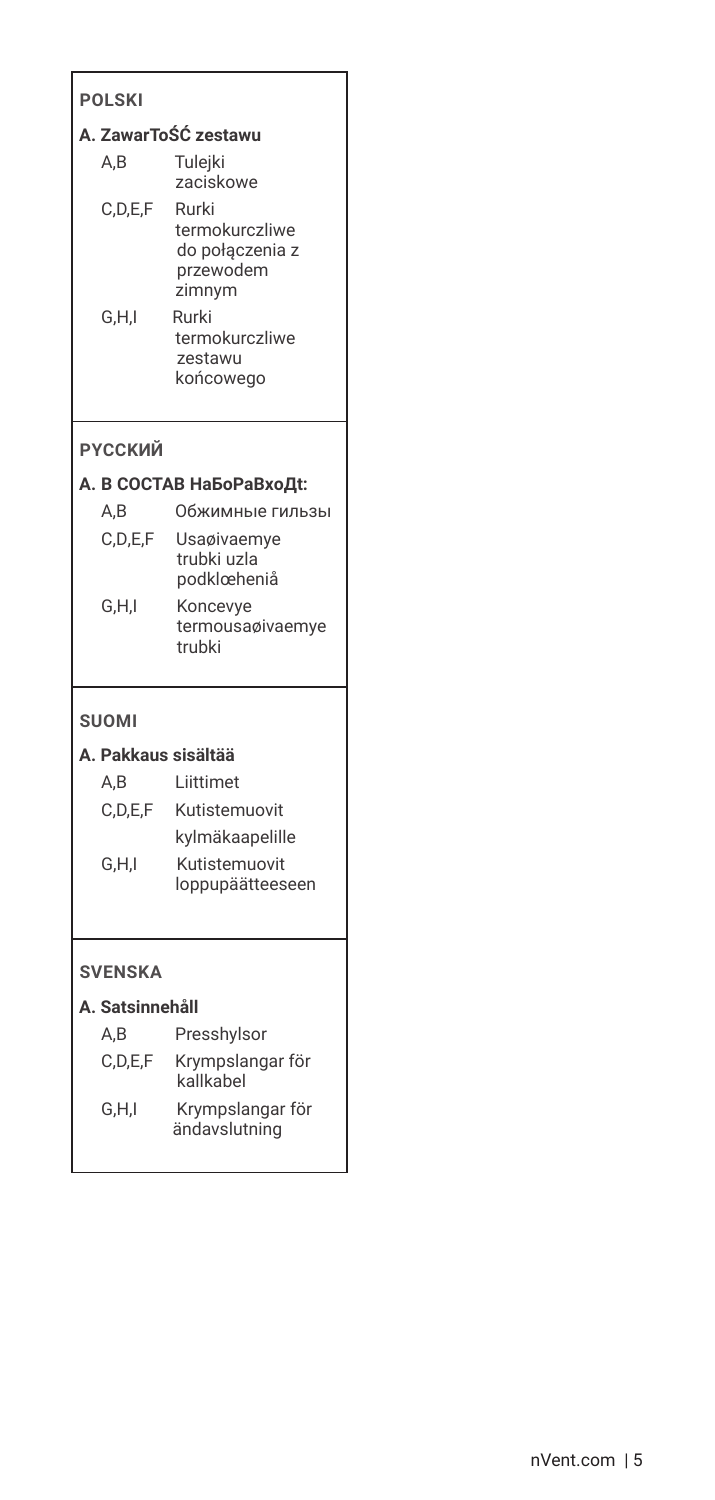| <b>POLSKI</b>        |                                                                   |  |  |  |  |
|----------------------|-------------------------------------------------------------------|--|--|--|--|
| A. ZawarToŚĆ zestawu |                                                                   |  |  |  |  |
| A.B                  | Tulejki<br>zaciskowe                                              |  |  |  |  |
| C,D,E,F              | Rurki<br>termokurczliwe<br>do połączenia z<br>przewodem<br>zimnym |  |  |  |  |
| G,H,I                | Rurki<br>termokurczliwe<br>zestawu<br>końcowego                   |  |  |  |  |
| <b>РҮССКИЙ</b>       |                                                                   |  |  |  |  |
|                      | А. В СОСТАВ НаБоРаВхоДt:                                          |  |  |  |  |
| A,B                  | Обжимные гильзы                                                   |  |  |  |  |
| C,D,E,F              | Usaøivaemye<br>trubki uzla<br>podklœheniå                         |  |  |  |  |
| G,H,I                | Koncevye<br>termousaøivaemye<br>trubki                            |  |  |  |  |
| <b>SUOMI</b>         |                                                                   |  |  |  |  |
| A. Pakkaus sisältää  |                                                                   |  |  |  |  |
| A,B                  | Liittimet                                                         |  |  |  |  |
| C,D,E,F              | Kutistemuovit                                                     |  |  |  |  |
|                      | kylmäkaapelille                                                   |  |  |  |  |
| G,H,I                | Kutistemuovit<br>loppupäätteeseen                                 |  |  |  |  |
| <b>SVENSKA</b>       |                                                                   |  |  |  |  |

## A. Satsinnehåll

| A,B     | Presshylsor                       |
|---------|-----------------------------------|
| C.D.E.F | Krympslangar för<br>kallkabel     |
| G.H.I   | Krympslangar för<br>ändavslutning |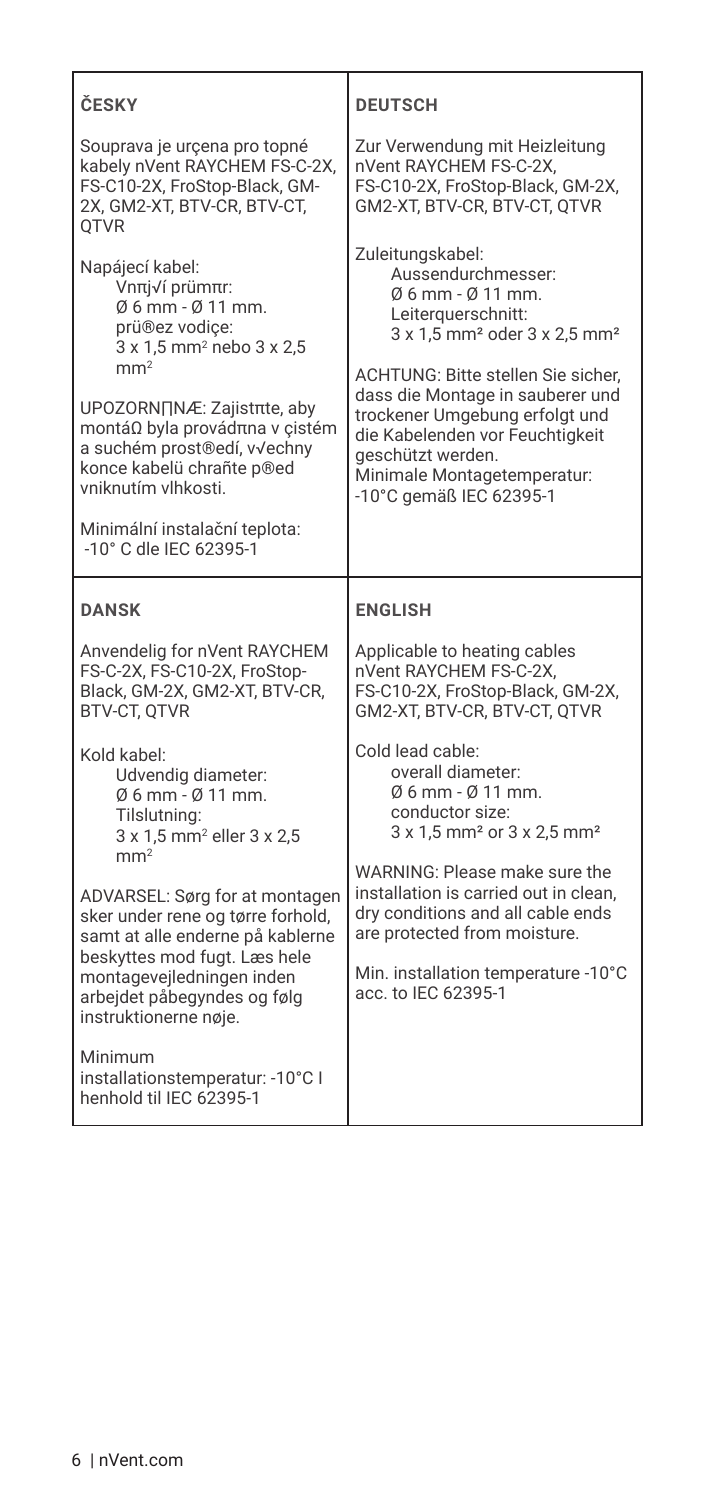| ČESKY                                                                                                                                                                                                                                                                                                                                            | <b>DEUTSCH</b>                                                                                                                                                                                                                                                                                                                                                                     |  |
|--------------------------------------------------------------------------------------------------------------------------------------------------------------------------------------------------------------------------------------------------------------------------------------------------------------------------------------------------|------------------------------------------------------------------------------------------------------------------------------------------------------------------------------------------------------------------------------------------------------------------------------------------------------------------------------------------------------------------------------------|--|
| Souprava je urçena pro topné<br>kabely nVent RAYCHEM FS-C-2X.<br>FS-C10-2X. FroStop-Black. GM-<br>2X, GM2-XT, BTV-CR, BTV-CT,<br><b>OTVR</b>                                                                                                                                                                                                     | Zur Verwendung mit Heizleitung<br>nVent RAYCHEM FS-C-2X.<br>FS-C10-2X, FroStop-Black, GM-2X,<br>GM2-XT, BTV-CR, BTV-CT, QTVR                                                                                                                                                                                                                                                       |  |
| Napájecí kabel:<br>Vnπj√í prümπr:<br>06 mm - 0 11 mm.<br>prü®ez vodice:<br>3 x 1,5 mm <sup>2</sup> nebo 3 x 2,5<br>mm <sup>2</sup><br>UPOZORN∏NÆ: Zajistπte, aby<br>montáΩ byla provádπna v cistém<br>a suchém prost®edí, v√echny<br>konce kabelü chrañte p®ed<br>vniknutím vlhkosti.<br>Minimální instalační teplota:<br>-10° C dle IEC 62395-1 | Zuleitungskabel:<br>Aussendurchmesser:<br>$0.6$ mm - $0.11$ mm.<br>Leiterauerschnitt:<br>3 x 1,5 mm <sup>2</sup> oder 3 x 2,5 mm <sup>2</sup><br><b>ACHTUNG: Bitte stellen Sie sicher.</b><br>dass die Montage in sauberer und<br>trockener Umgebung erfolgt und<br>die Kabelenden vor Feuchtigkeit<br>geschützt werden.<br>Minimale Montagetemperatur:<br>-10°C gemäß IEC 62395-1 |  |
| <b>DANSK</b>                                                                                                                                                                                                                                                                                                                                     | <b>ENGLISH</b>                                                                                                                                                                                                                                                                                                                                                                     |  |
| Anvendelig for nVent RAYCHEM<br>FS-C-2X, FS-C10-2X, FroStop-<br>Black, GM-2X, GM2-XT, BTV-CR,<br><b>BTV-CT, OTVR</b>                                                                                                                                                                                                                             | Applicable to heating cables<br>nVent RAYCHEM FS-C-2X.<br>FS-C10-2X, FroStop-Black, GM-2X,<br>GM2-XT, BTV-CR, BTV-CT, QTVR                                                                                                                                                                                                                                                         |  |
| Kold kabel:<br>Udvendig diameter:<br>06 mm - 0 11 mm.                                                                                                                                                                                                                                                                                            | Cold lead cable:<br>overall diameter:<br>Ø6 mm - Ø 11 mm.<br>conductor size:<br>3 x 1,5 mm <sup>2</sup> or 3 x 2,5 mm <sup>2</sup>                                                                                                                                                                                                                                                 |  |
| Tilslutning:<br>3 x 1,5 mm <sup>2</sup> eller 3 x 2,5<br>mm <sup>2</sup>                                                                                                                                                                                                                                                                         |                                                                                                                                                                                                                                                                                                                                                                                    |  |
| ADVARSEL: Sørg for at montagen<br>sker under rene og tørre forhold,<br>samt at alle enderne på kablerne<br>beskyttes mod fugt. Læs hele<br>montagevejledningen inden<br>arbeidet påbegyndes og følg<br>instruktionerne nøje.                                                                                                                     | WARNING: Please make sure the<br>installation is carried out in clean.<br>dry conditions and all cable ends<br>are protected from moisture.<br>Min. installation temperature -10°C<br>acc. to IEC 62395-1                                                                                                                                                                          |  |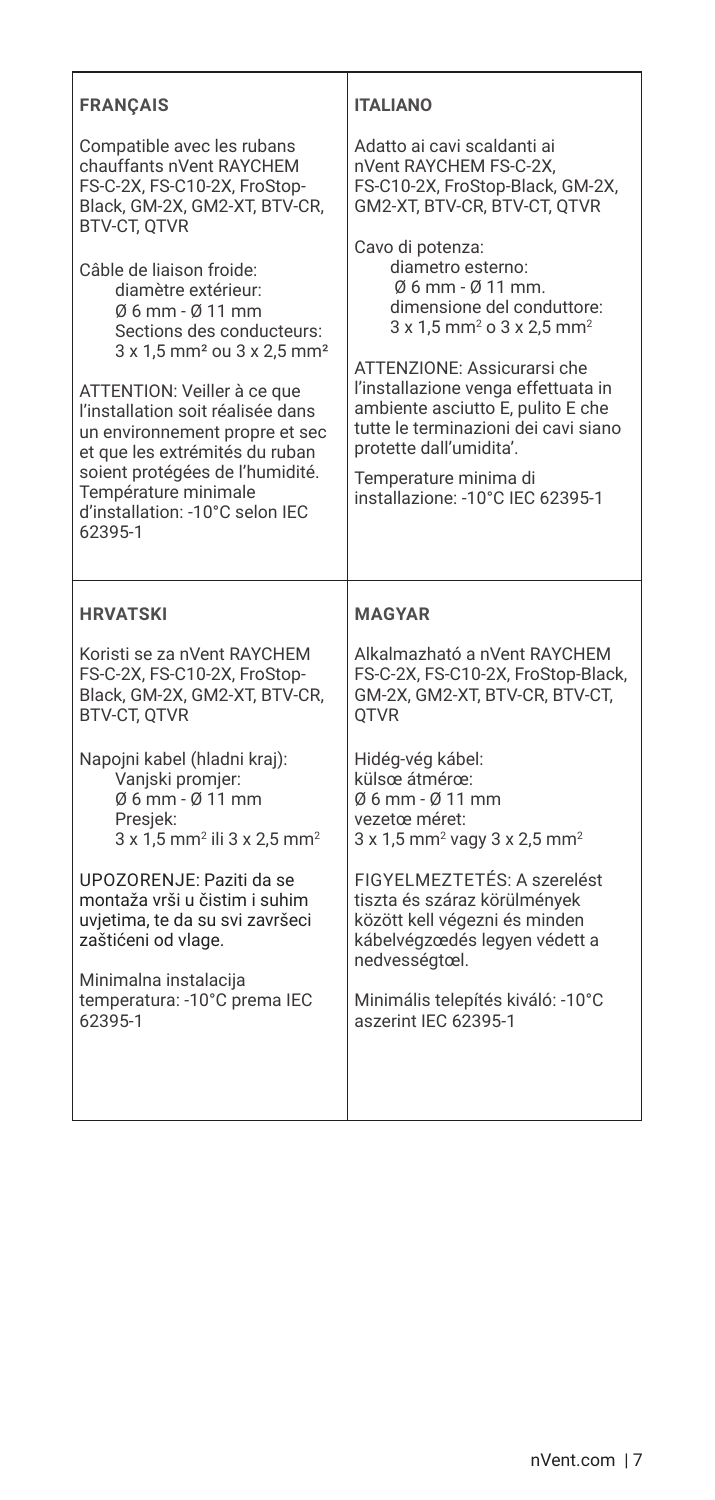| <b>FRANCAIS</b>                                                                                                                                                                                                                                                                                                                                                                                        | <b>ITALIANO</b>                                                                                                                                                                                                                                                                                                                                                                              |  |
|--------------------------------------------------------------------------------------------------------------------------------------------------------------------------------------------------------------------------------------------------------------------------------------------------------------------------------------------------------------------------------------------------------|----------------------------------------------------------------------------------------------------------------------------------------------------------------------------------------------------------------------------------------------------------------------------------------------------------------------------------------------------------------------------------------------|--|
| Compatible avec les rubans<br>chauffants nVent RAYCHEM<br>FS-C-2X, FS-C10-2X, FroStop-<br>Black, GM-2X, GM2-XT, BTV-CR,<br><b>BTV-CT, OTVR</b>                                                                                                                                                                                                                                                         | Adatto ai cavi scaldanti ai<br>nVent RAYCHEM FS-C-2X.<br>FS-C10-2X, FroStop-Black, GM-2X,<br>GM2-XT, BTV-CR, BTV-CT, QTVR                                                                                                                                                                                                                                                                    |  |
| Câble de liaison froide:<br>diamètre extérieur:<br>06 mm - 0 11 mm<br>Sections des conducteurs:<br>3 x 1,5 mm <sup>2</sup> ou 3 x 2,5 mm <sup>2</sup><br>ATTENTION: Veiller à ce que<br>l'installation soit réalisée dans<br>un environnement propre et sec<br>et que les extrémités du ruban<br>soient protégées de l'humidité.<br>Température minimale<br>d'installation: -10°C selon IEC<br>62395-1 | Cavo di potenza:<br>diametro esterno:<br>$0.6$ mm - $0.11$ mm.<br>dimensione del conduttore:<br>3 x 1,5 mm <sup>2</sup> o 3 x 2,5 mm <sup>2</sup><br>ATTENZIONE: Assicurarsi che<br>l'installazione venga effettuata in<br>ambiente asciutto E, pulito E che<br>tutte le terminazioni dei cavi siano<br>protette dall'umidita'.<br>Temperature minima di<br>installazione: -10°C IEC 62395-1 |  |
|                                                                                                                                                                                                                                                                                                                                                                                                        |                                                                                                                                                                                                                                                                                                                                                                                              |  |
| <b>HRVATSKI</b>                                                                                                                                                                                                                                                                                                                                                                                        | <b>MAGYAR</b>                                                                                                                                                                                                                                                                                                                                                                                |  |
| Koristi se za nVent RAYCHEM<br>FS-C-2X. FS-C10-2X. FroStop-<br>Black. GM-2X. GM2-XT. BTV-CR.<br><b>BTV-CT, OTVR</b>                                                                                                                                                                                                                                                                                    | Alkalmazható a nVent RAYCHEM<br>FS-C-2X. FS-C10-2X. FroStop-Black.<br>GM-2X. GM2-XT. BTV-CR. BTV-CT.<br><b>OTVR</b>                                                                                                                                                                                                                                                                          |  |
| Napojni kabel (hladni kraj):<br>Vaniski promier:<br>06 mm - 0 11 mm<br>Presiek:<br>3 x 1,5 mm <sup>2</sup> ili 3 x 2,5 mm <sup>2</sup>                                                                                                                                                                                                                                                                 | Hidéa-véa kábel:<br>külsœ átmérœ:<br>$0.6$ mm - $0.11$ mm<br>vezetœ méret:<br>3 x 1,5 mm <sup>2</sup> vagy 3 x 2,5 mm <sup>2</sup>                                                                                                                                                                                                                                                           |  |
| UPOZORENJE: Paziti da se<br>montaža vrši u čistim i suhim<br>uvjetima, te da su svi završeci<br>zaštićeni od vlage.<br>Minimalna instalacija                                                                                                                                                                                                                                                           | FIGYELMEZTETÉS: A szerelést<br>tiszta és száraz körülmények<br>között kell végezni és minden<br>kábelvégzœdés legyen védett a<br>nedvességtœl.                                                                                                                                                                                                                                               |  |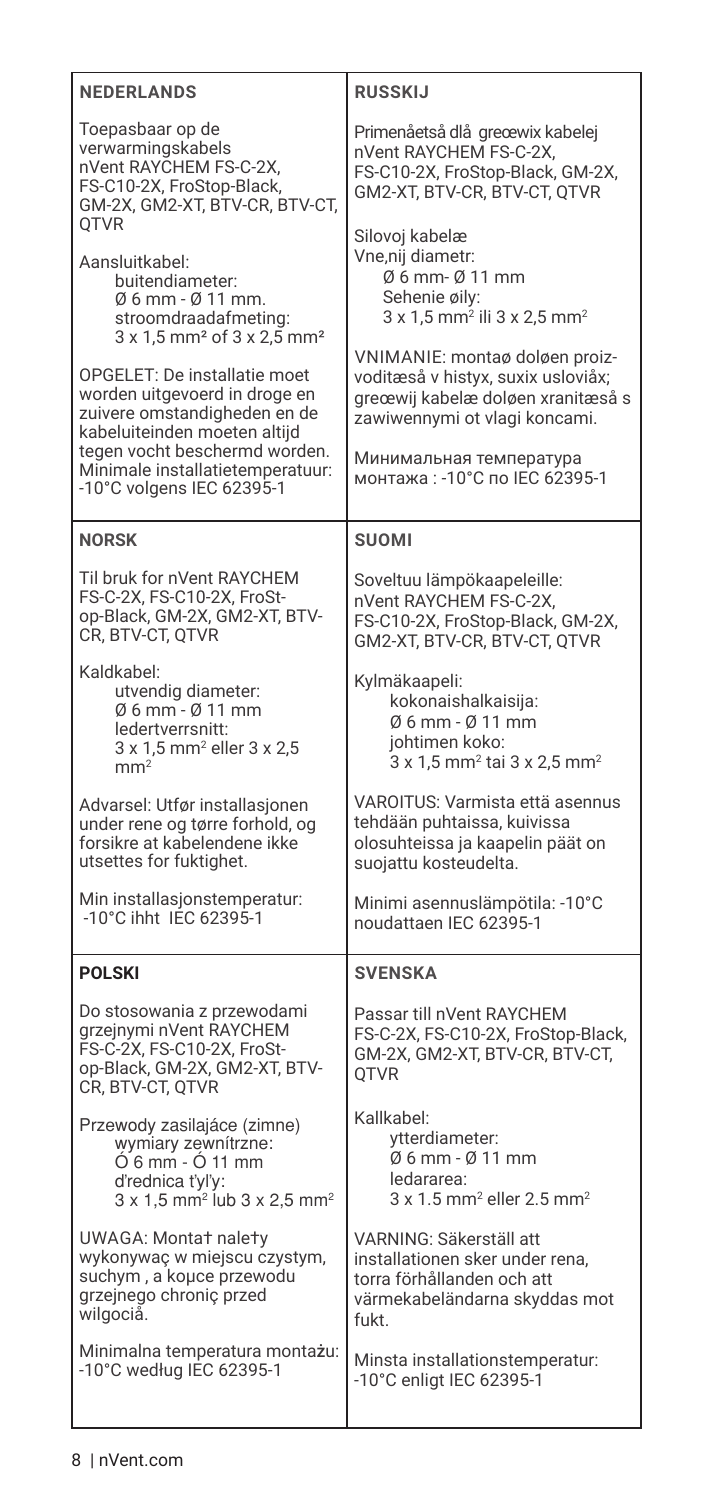| <b>NEDERLANDS</b>                                                                                                                                                                                                                                                                                                                                                       | <b>RUSSKIJ</b>                                                                                                                                                                                                                                                                                                                          |
|-------------------------------------------------------------------------------------------------------------------------------------------------------------------------------------------------------------------------------------------------------------------------------------------------------------------------------------------------------------------------|-----------------------------------------------------------------------------------------------------------------------------------------------------------------------------------------------------------------------------------------------------------------------------------------------------------------------------------------|
| Toepasbaar op de<br>verwarmingskabels<br>nVent RAYCHEM FS-C-2X,<br>FS-C10-2X, FroStop-Black,<br>GM-2X, GM2-XT, BTV-CR, BTV-CT,<br>QTVR                                                                                                                                                                                                                                  | Primenåetså dlå greœwix kabelej<br>nVent RAYCHEM FS-C-2X,<br>FS-C10-2X, FroStop-Black, GM-2X,<br>GM2-XT, BTV-CR, BTV-CT, QTVR                                                                                                                                                                                                           |
| Aansluitkabel:<br>buitendiameter:<br>Ø 6 mm - Ø 11 mm.<br>stroomdraadafmeting:<br>3 x 1,5 mm <sup>2</sup> of 3 x 2,5 mm <sup>2</sup><br>OPGELET: De installatie moet<br>worden uitgevoerd in droge en<br>zuivere omstandigheden en de<br>kabeluiteinden moeten altijd<br>tegen vocht beschermd worden.<br>Minimale installatietemperatuur:<br>-10°C volgens IEC 62395-1 | Silovoj kabelæ<br>Vne,nij diametr:<br>06 mm- 0 11 mm<br>Sehenie øily:<br>3 x 1,5 mm <sup>2</sup> ili 3 x 2,5 mm <sup>2</sup><br>VNIMANIE: montaø doløen proiz-<br>voditæså v histyx, suxix usloviåx;<br>greœwij kabelæ doløen xranitæså s<br>zawiwennymi ot vlagi koncami.<br>Минимальная температура<br>монтажа: - 10°С по IEC 62395-1 |
| <b>NORSK</b>                                                                                                                                                                                                                                                                                                                                                            | <b>SUOMI</b>                                                                                                                                                                                                                                                                                                                            |
| Til bruk for nVent RAYCHEM<br>FS-C-2X, FS-C10-2X, FroSt-<br>op-Black, GM-2X, GM2-XT, BTV-<br>CR, BTV-CT, QTVR                                                                                                                                                                                                                                                           | Soveltuu lämpökaapeleille:<br>nVent RAYCHEM FS-C-2X,<br>FS-C10-2X, FroStop-Black, GM-2X,<br>GM2-XT, BTV-CR, BTV-CT, QTVR                                                                                                                                                                                                                |
| Kaldkabel:<br>utvendig diameter:<br>Ø 6 mm - Ø 11 mm<br>ledertverrsnitt:<br>3 x 1,5 mm <sup>2</sup> eller 3 x 2,5<br>mm <sup>2</sup>                                                                                                                                                                                                                                    | Kylmäkaapeli:<br>kokonaishalkaisija:<br>06 mm - 0 11 mm<br>johtimen koko:<br>3 x 1,5 mm <sup>2</sup> tai 3 x 2,5 mm <sup>2</sup>                                                                                                                                                                                                        |
| Advarsel: Utfør installasjonen<br>under rene og tørre forhold, og<br>forsikre at kabelendene ikke<br>utsettes for fuktighet.                                                                                                                                                                                                                                            | VAROITUS: Varmista että asennus<br>tehdään puhtaissa, kuivissa<br>olosuhteissa ja kaapelin päät on<br>suojattu kosteudelta.                                                                                                                                                                                                             |
| Min installasjonstemperatur:<br>-10°C ihht IEC 62395-1                                                                                                                                                                                                                                                                                                                  | Minimi asennuslämpötila: -10°C<br>noudattaen IEC 62395-1                                                                                                                                                                                                                                                                                |
| <b>POLSKI</b>                                                                                                                                                                                                                                                                                                                                                           | <b>SVENSKA</b>                                                                                                                                                                                                                                                                                                                          |
| Do stosowania z przewodami<br>grzejnymi nVent RAYCHEM<br>FS-C-2X, FS-C10-2X, FroSt-<br>op-Black, GM-2X, GM2-XT, BTV-<br>CR, BTV-CT, QTVR                                                                                                                                                                                                                                | Passar till nVent RAYCHEM<br>FS-C-2X, FS-C10-2X, FroStop-Black,<br>GM-2X, GM2-XT, BTV-CR, BTV-CT,<br>QTVR                                                                                                                                                                                                                               |
| Przewody zasilajáce (zimne)<br>wymiary zewnitrzne:<br>O 6 mm - O 11 mm<br>d'rednica t'yl'y:<br>$3 \times 1,5$ mm <sup>2</sup> lub $3 \times 2,5$ mm <sup>2</sup>                                                                                                                                                                                                        | Kallkabel:<br>ytterdiameter:<br>Ø 6 mm - Ø 11 mm<br>ledararea:<br>$3 \times 1.5$ mm <sup>2</sup> eller 2.5 mm <sup>2</sup>                                                                                                                                                                                                              |
| UWAGA: Monta† nale†y<br>wykonywaę w miejscu czystym,<br>suchym, a kouce przewodu<br>grzejnego chroniç przed<br>wilgociå.                                                                                                                                                                                                                                                | VARNING: Säkerställ att<br>installationen sker under rena.<br>torra förhållanden och att<br>värmekabeländarna skyddas mot<br>fukt.                                                                                                                                                                                                      |
| Minimalna temperatura montażu:<br>-10°C według IEC 62395-1                                                                                                                                                                                                                                                                                                              | Minsta installationstemperatur:<br>-10°C enligt IEC 62395-1                                                                                                                                                                                                                                                                             |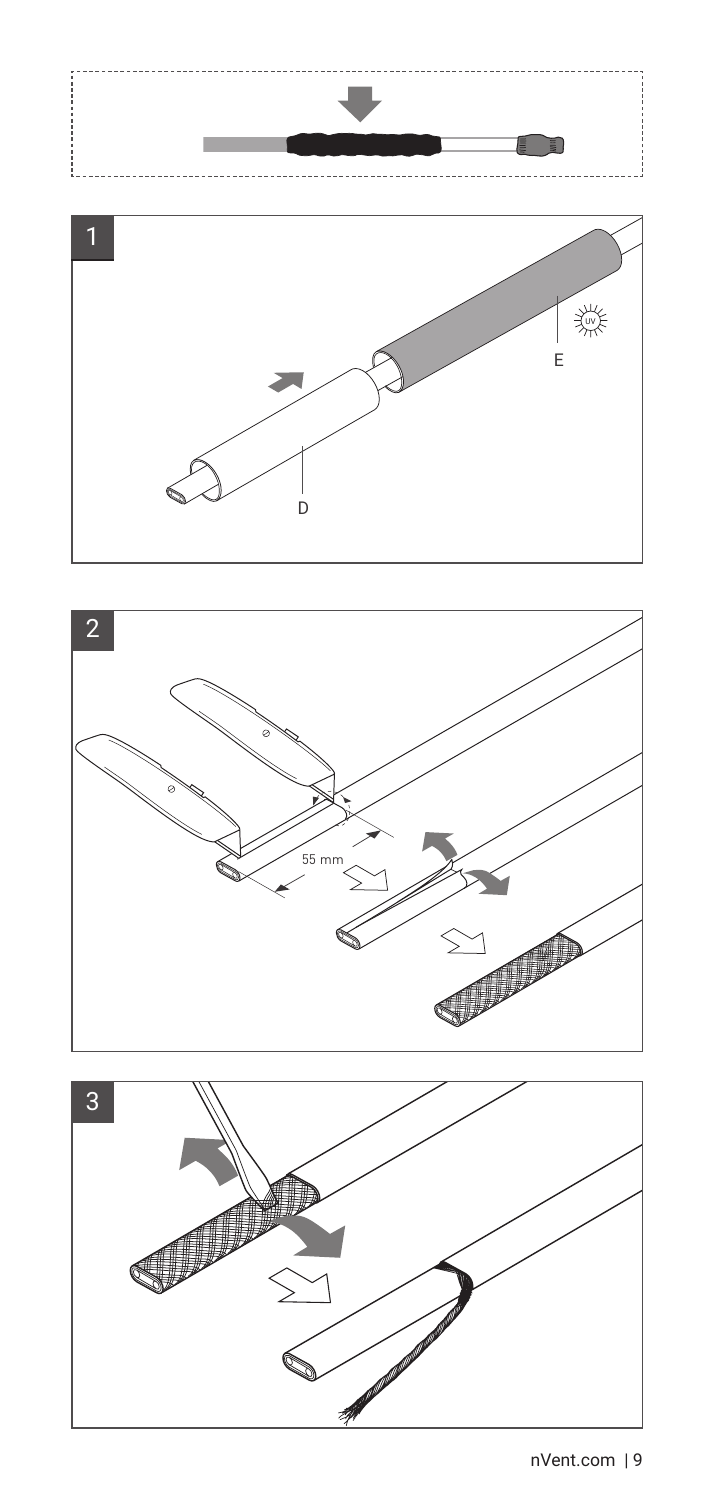





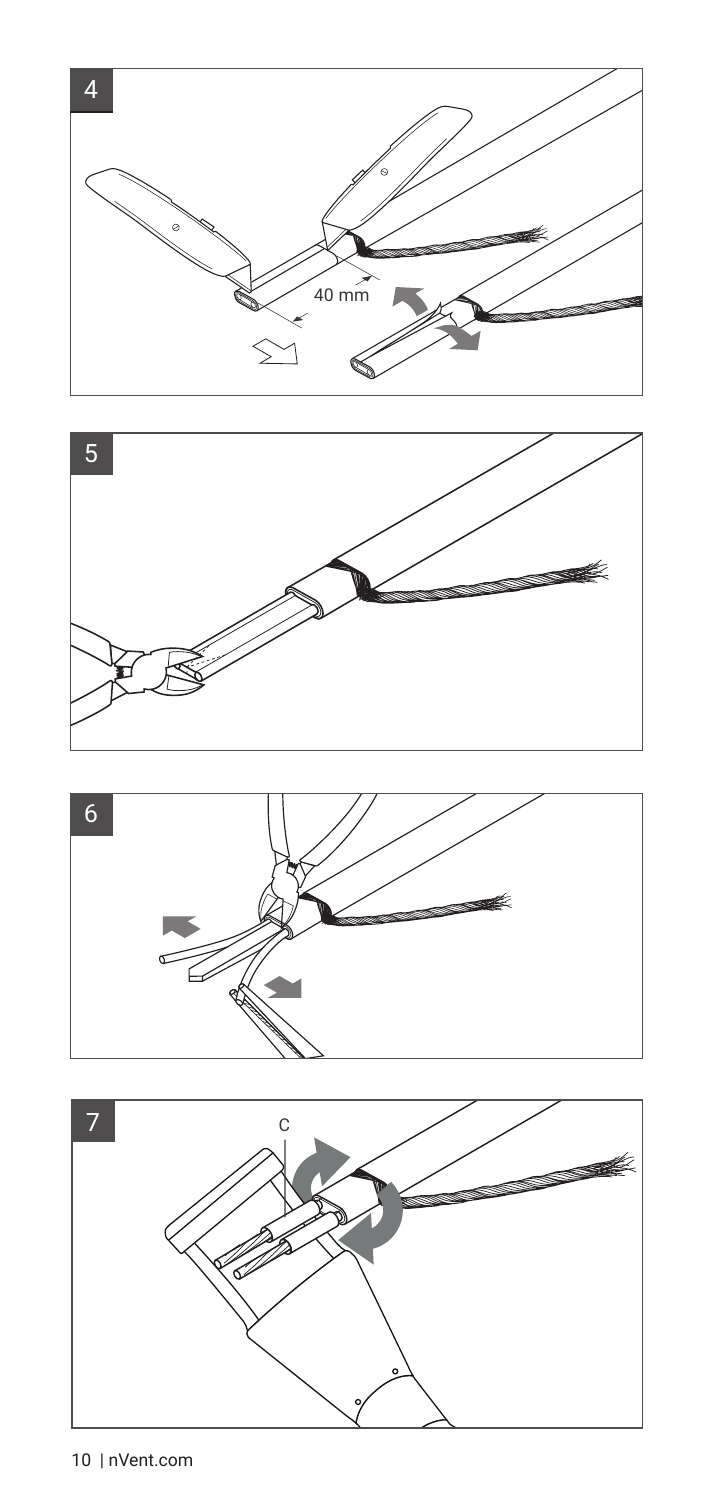





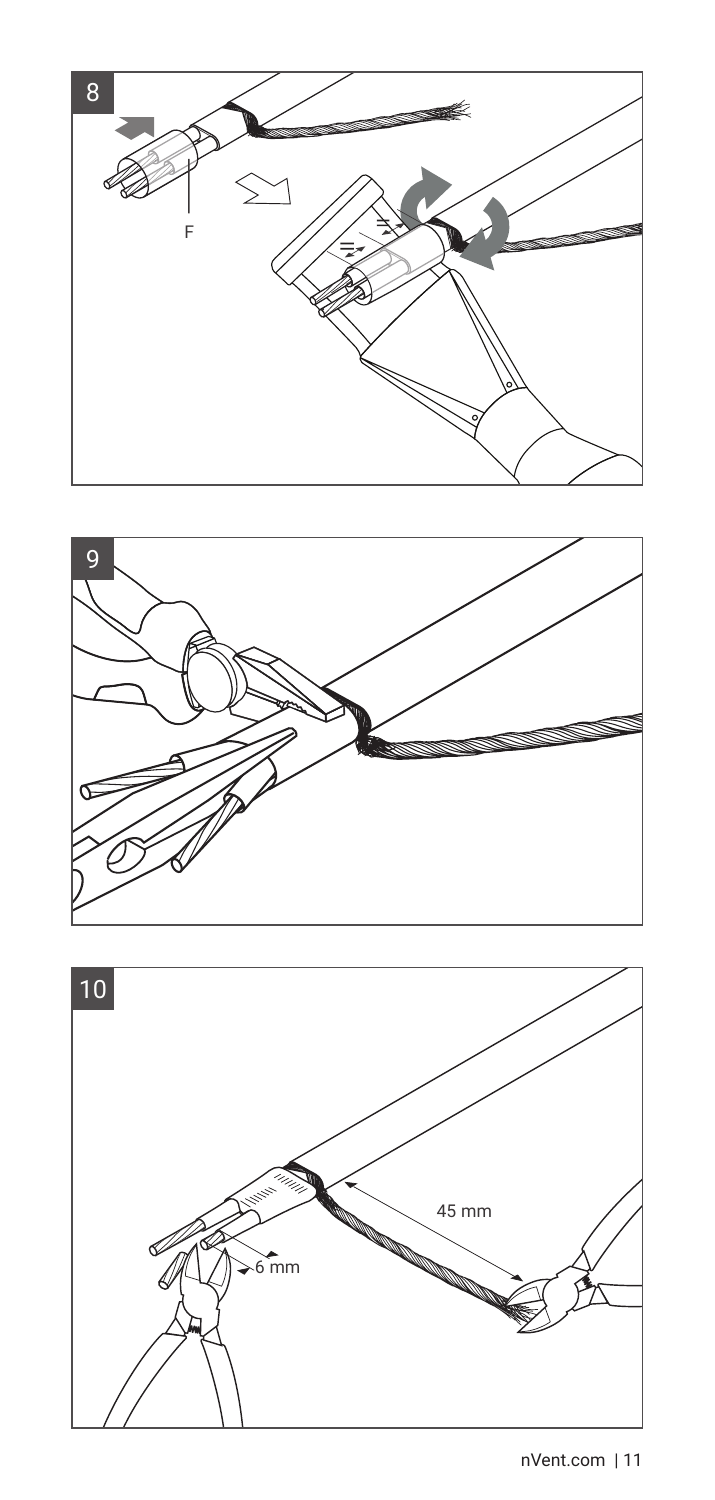



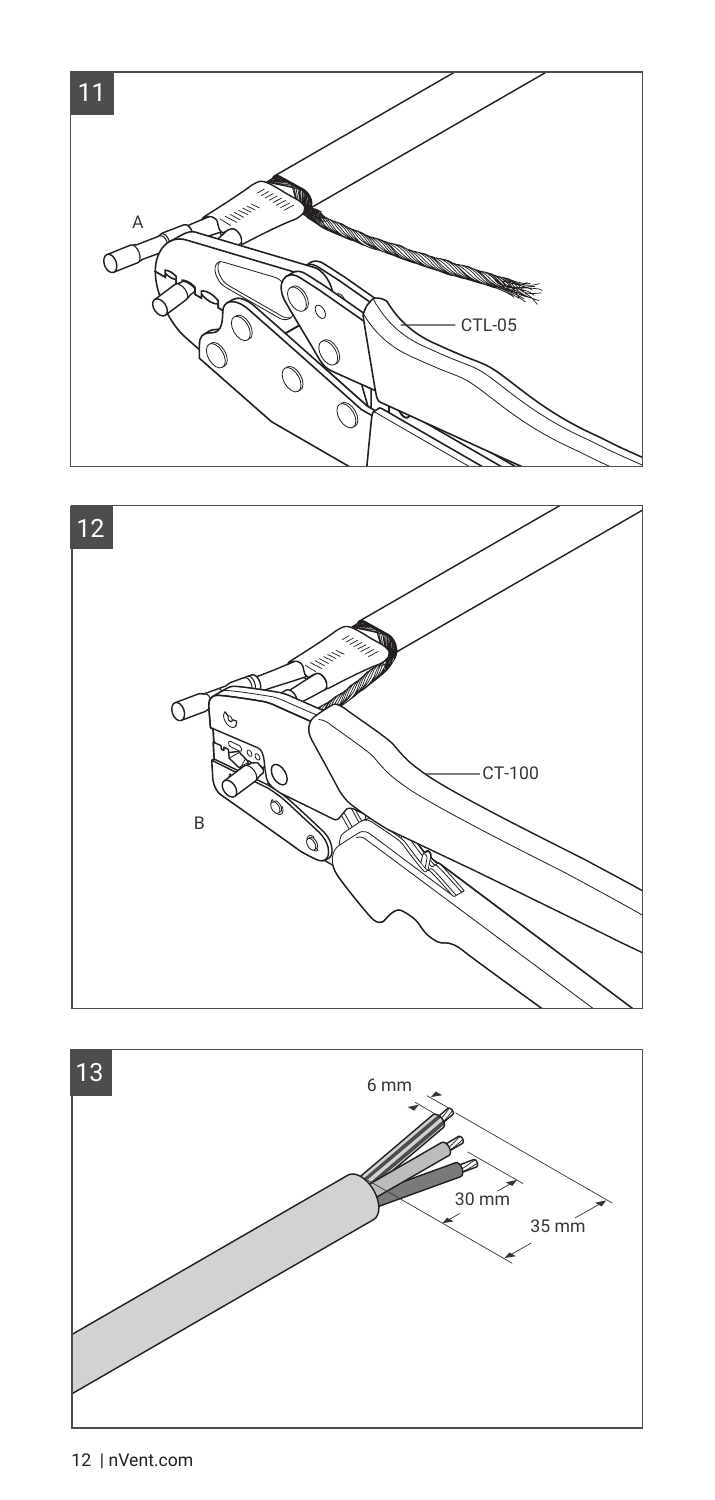





12 | nVent.com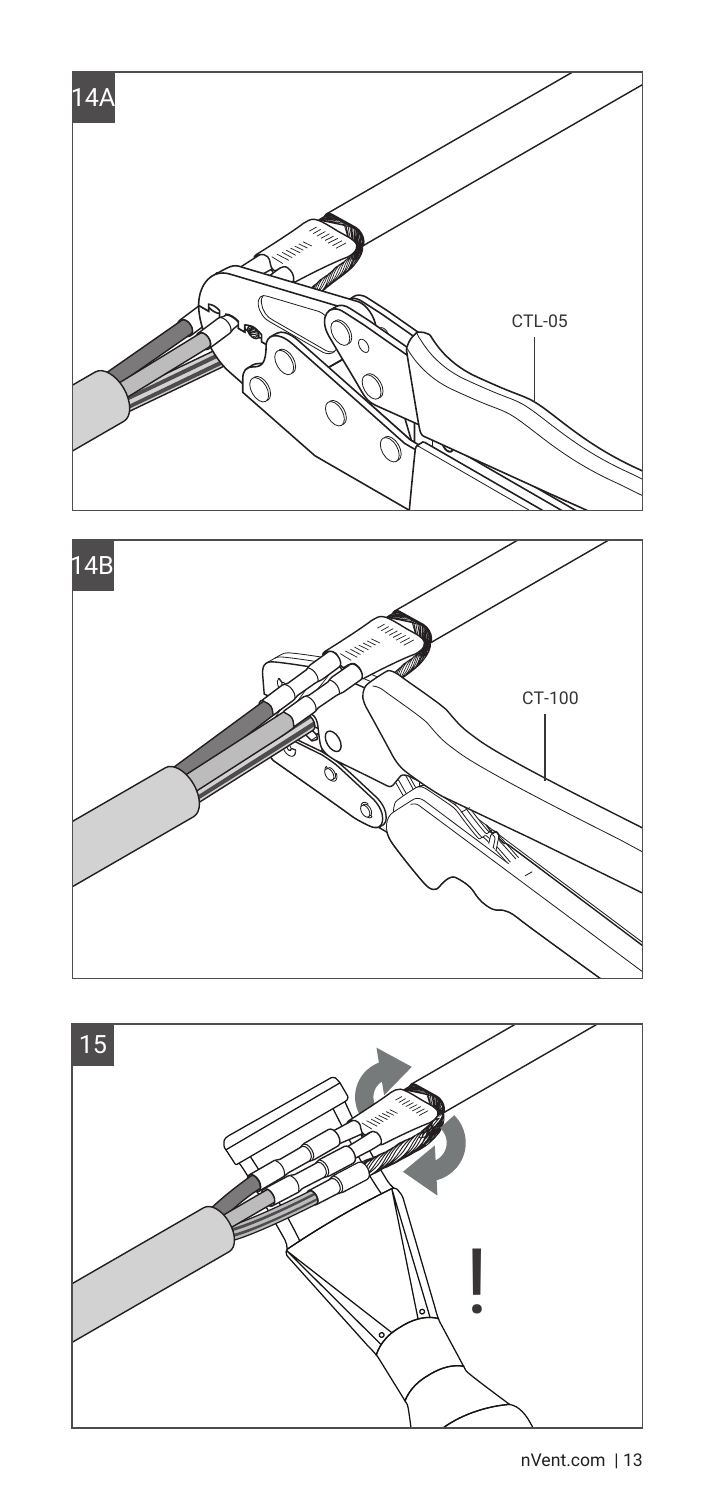



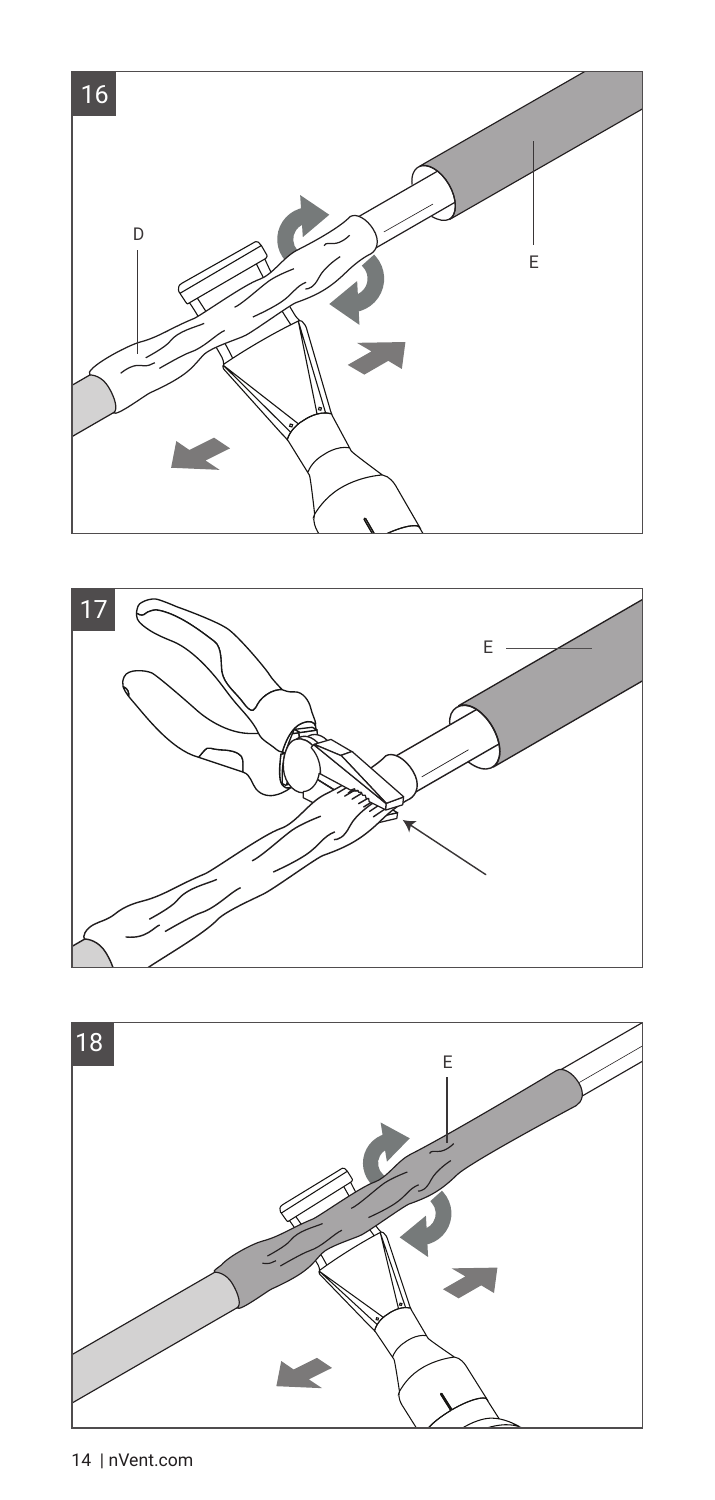



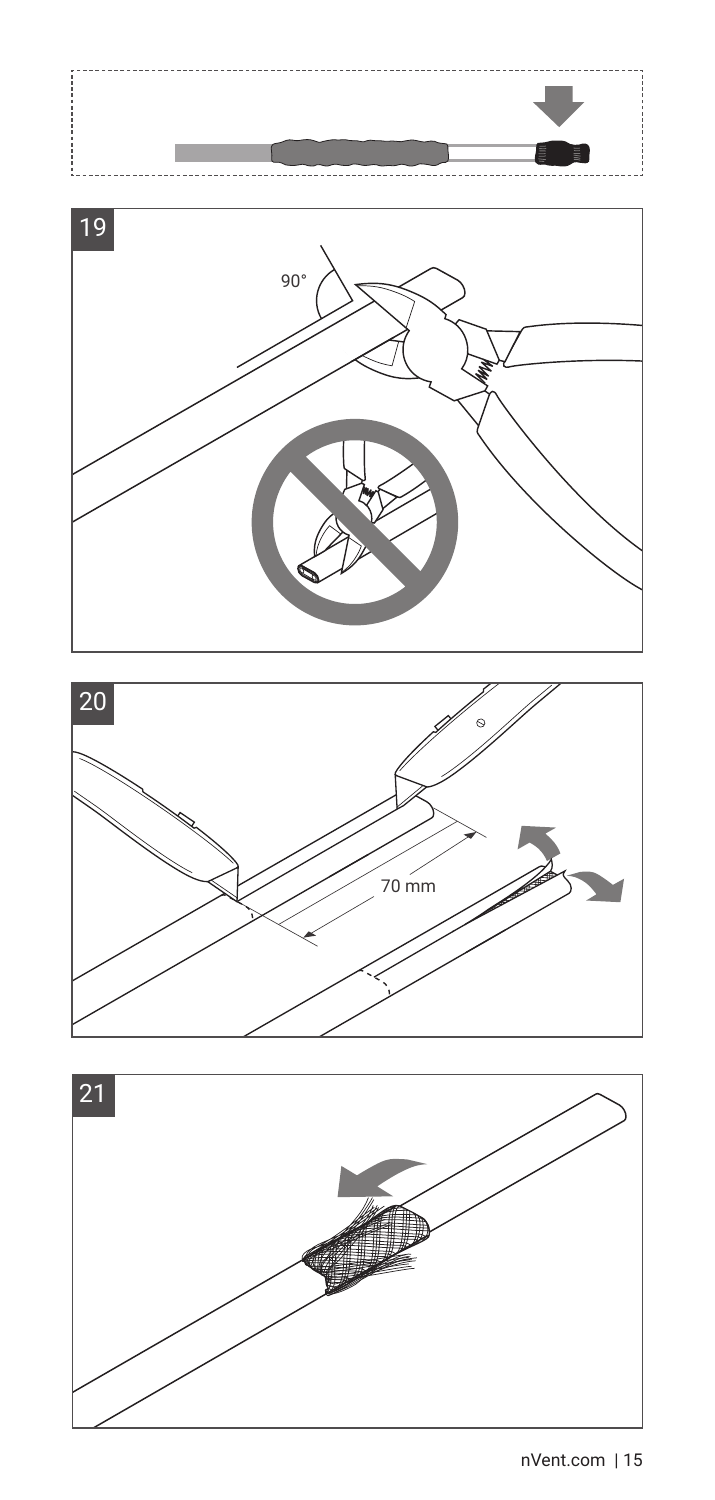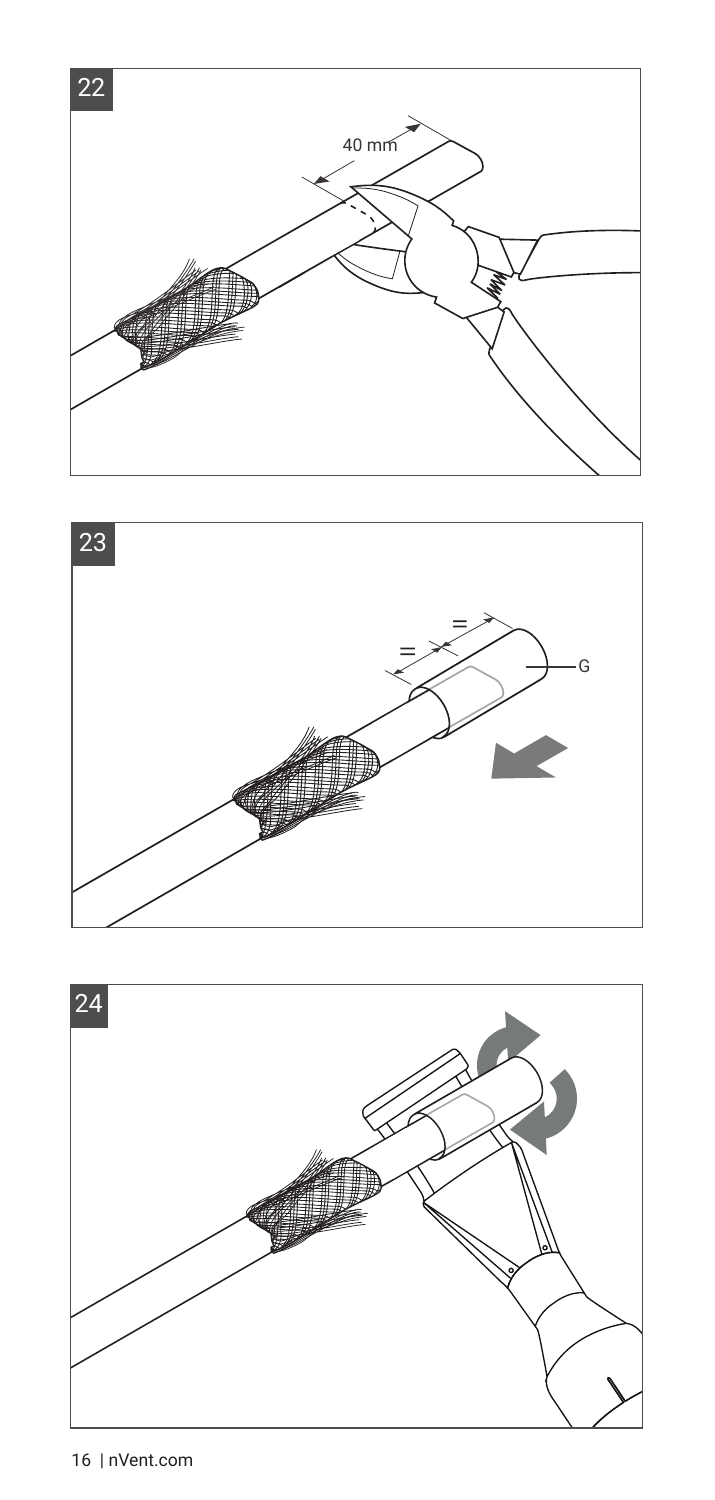



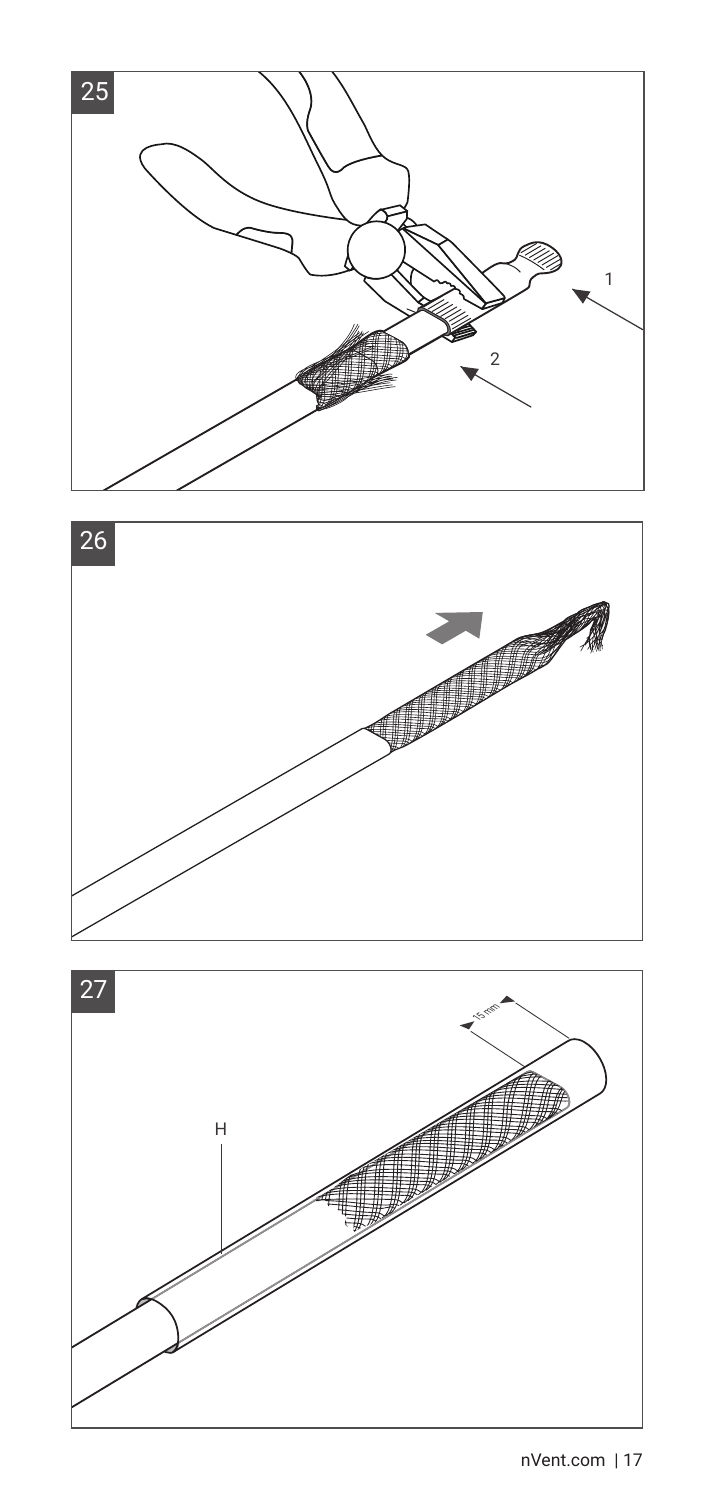



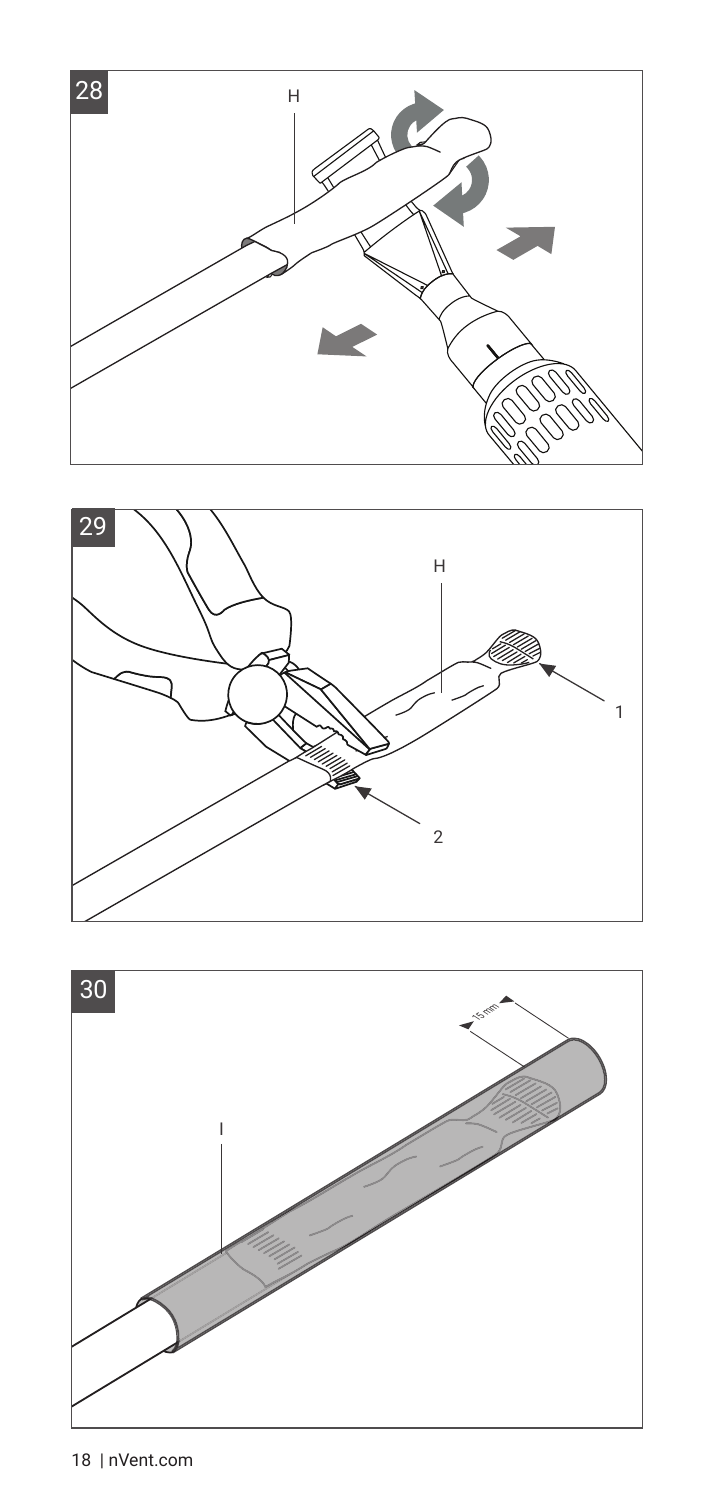



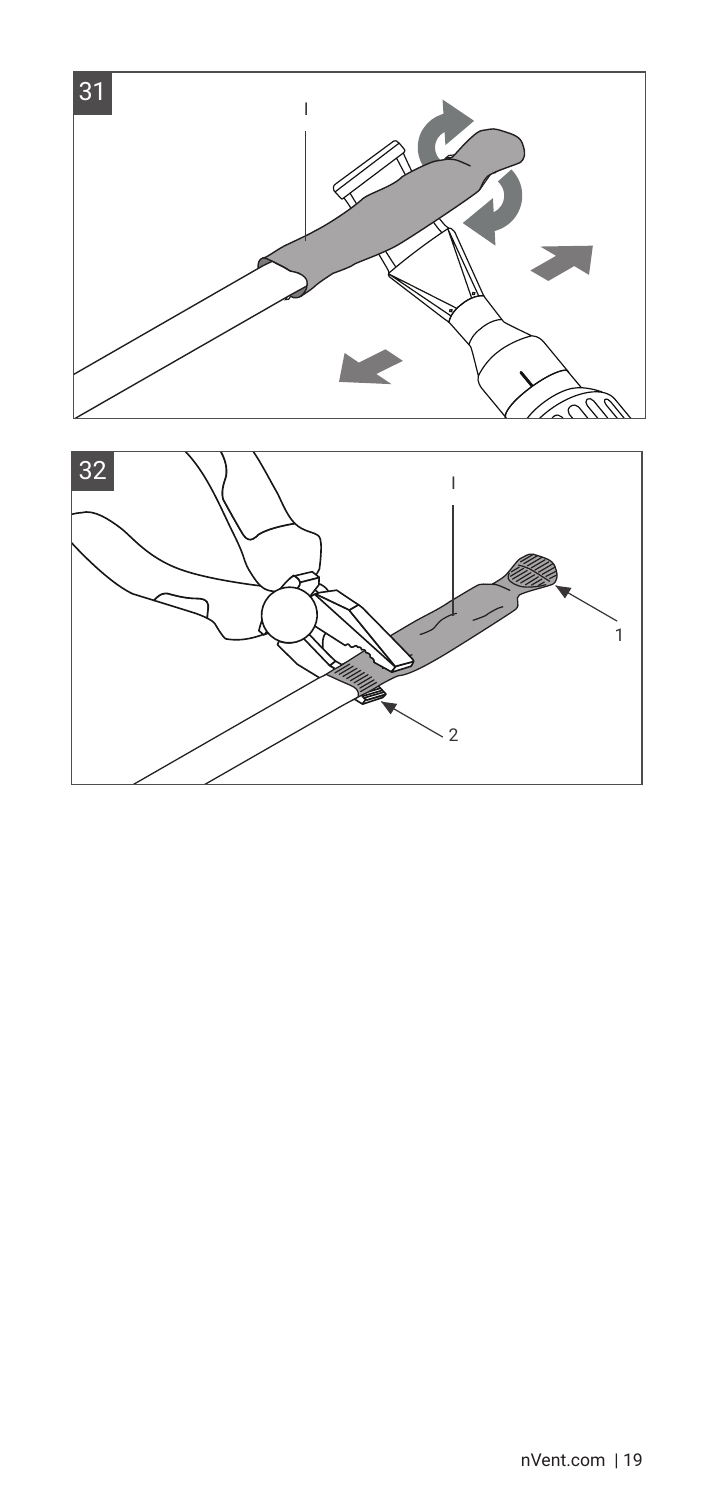